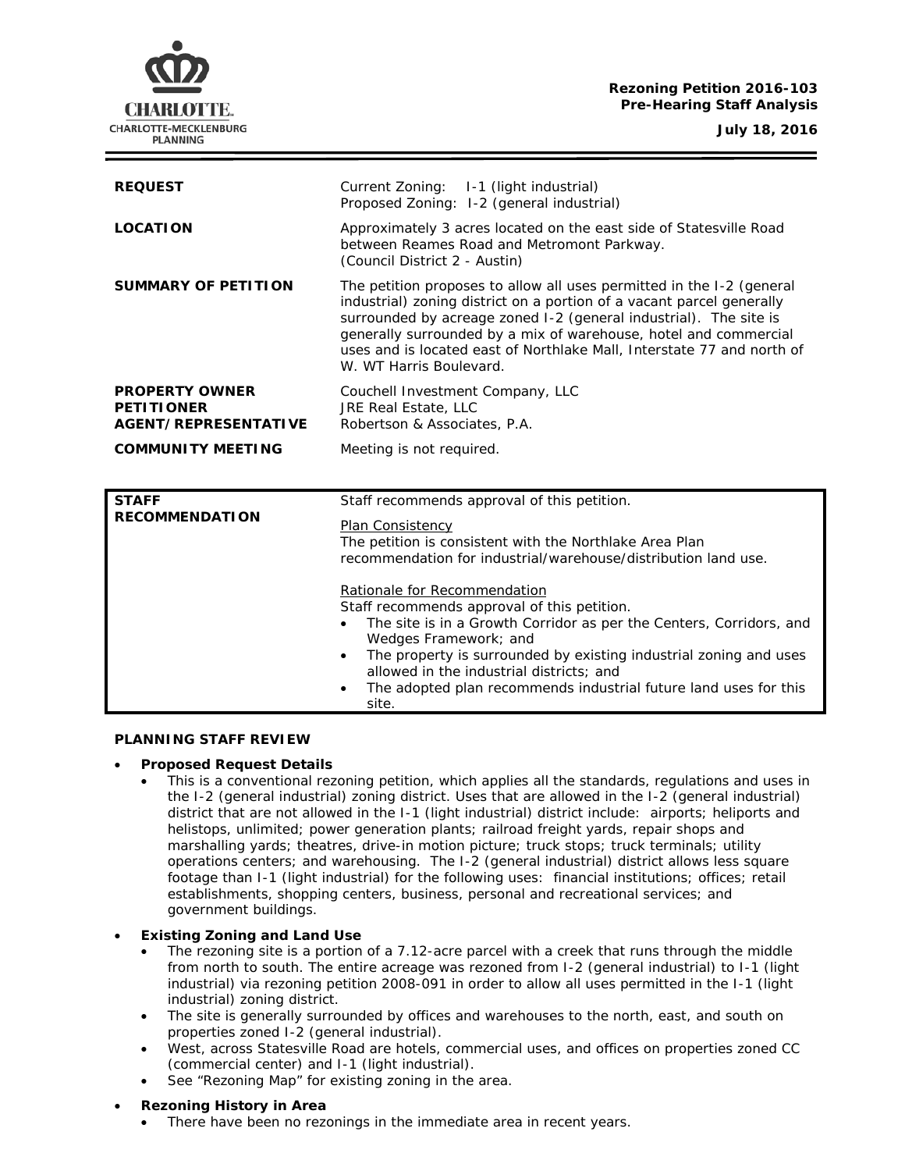# **Rezoning Petition 2016-103 Pre-Hearing Staff Analysis**

CHARLOTTE. CHARLOTTE-MECKLENBURG **PLANNING** 

**July 18, 2016**

| <b>REQUEST</b>                                                     | Current Zoning: 1-1 (light industrial)<br>Proposed Zoning: 1-2 (general industrial)                                                                                                                                                                                                                                                                                                          |
|--------------------------------------------------------------------|----------------------------------------------------------------------------------------------------------------------------------------------------------------------------------------------------------------------------------------------------------------------------------------------------------------------------------------------------------------------------------------------|
| <b>LOCATION</b>                                                    | Approximately 3 acres located on the east side of Statesville Road<br>between Reames Road and Metromont Parkway.<br>(Council District 2 - Austin)                                                                                                                                                                                                                                            |
| SUMMARY OF PETITION                                                | The petition proposes to allow all uses permitted in the I-2 (general<br>industrial) zoning district on a portion of a vacant parcel generally<br>surrounded by acreage zoned I-2 (general industrial). The site is<br>generally surrounded by a mix of warehouse, hotel and commercial<br>uses and is located east of Northlake Mall, Interstate 77 and north of<br>W. WT Harris Boulevard. |
| <b>PROPERTY OWNER</b><br><b>PETITIONER</b><br>AGENT/REPRESENTATIVE | Couchell Investment Company, LLC<br>JRE Real Estate, LLC<br>Robertson & Associates, P.A.                                                                                                                                                                                                                                                                                                     |
| <b>COMMUNITY MEETING</b>                                           | Meeting is not required.                                                                                                                                                                                                                                                                                                                                                                     |

| <b>STAFF</b><br><b>RECOMMENDATION</b> | Staff recommends approval of this petition.<br>Plan Consistency<br>The petition is consistent with the Northlake Area Plan<br>recommendation for industrial/warehouse/distribution land use.                                                                                                                                                                                                        |
|---------------------------------------|-----------------------------------------------------------------------------------------------------------------------------------------------------------------------------------------------------------------------------------------------------------------------------------------------------------------------------------------------------------------------------------------------------|
|                                       | Rationale for Recommendation<br>Staff recommends approval of this petition.<br>The site is in a Growth Corridor as per the Centers, Corridors, and<br>Wedges Framework; and<br>The property is surrounded by existing industrial zoning and uses<br>$\bullet$<br>allowed in the industrial districts; and<br>The adopted plan recommends industrial future land uses for this<br>$\bullet$<br>site. |

## **PLANNING STAFF REVIEW**

## • **Proposed Request Details**

• This is a conventional rezoning petition, which applies all the standards, regulations and uses in the I-2 (general industrial) zoning district. Uses that are allowed in the I-2 (general industrial) district that are not allowed in the I-1 (light industrial) district include: airports; heliports and helistops, unlimited; power generation plants; railroad freight yards, repair shops and marshalling yards; theatres, drive-in motion picture; truck stops; truck terminals; utility operations centers; and warehousing. The I-2 (general industrial) district allows less square footage than I-1 (light industrial) for the following uses: financial institutions; offices; retail establishments, shopping centers, business, personal and recreational services; and government buildings.

## • **Existing Zoning and Land Use**

- The rezoning site is a portion of a 7.12-acre parcel with a creek that runs through the middle from north to south. The entire acreage was rezoned from I-2 (general industrial) to I-1 (light industrial) via rezoning petition 2008-091 in order to allow all uses permitted in the I-1 (light industrial) zoning district.
- The site is generally surrounded by offices and warehouses to the north, east, and south on properties zoned I-2 (general industrial).
- West, across Statesville Road are hotels, commercial uses, and offices on properties zoned CC (commercial center) and I-1 (light industrial).
- See "Rezoning Map" for existing zoning in the area.

## • **Rezoning History in Area**

There have been no rezonings in the immediate area in recent years.